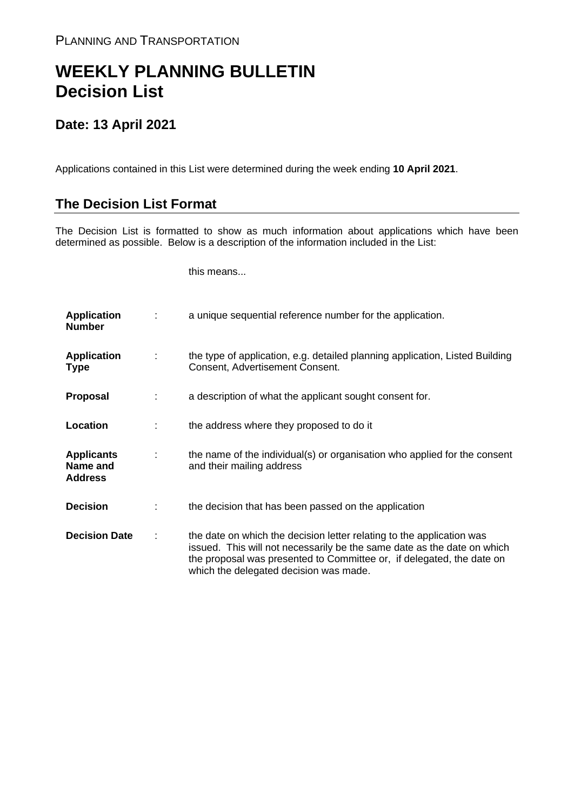## **WEEKLY PLANNING BULLETIN Decision List**

## **Date: 13 April 2021**

Applications contained in this List were determined during the week ending **10 April 2021**.

## **The Decision List Format**

The Decision List is formatted to show as much information about applications which have been determined as possible. Below is a description of the information included in the List:

this means...

| <b>Application</b><br><b>Number</b>             |   | a unique sequential reference number for the application.                                                                                                                                                                                                           |
|-------------------------------------------------|---|---------------------------------------------------------------------------------------------------------------------------------------------------------------------------------------------------------------------------------------------------------------------|
| <b>Application</b><br><b>Type</b>               | ÷ | the type of application, e.g. detailed planning application, Listed Building<br>Consent, Advertisement Consent.                                                                                                                                                     |
| Proposal                                        |   | a description of what the applicant sought consent for.                                                                                                                                                                                                             |
| Location                                        |   | the address where they proposed to do it                                                                                                                                                                                                                            |
| <b>Applicants</b><br>Name and<br><b>Address</b> | ÷ | the name of the individual(s) or organisation who applied for the consent<br>and their mailing address                                                                                                                                                              |
| <b>Decision</b>                                 |   | the decision that has been passed on the application                                                                                                                                                                                                                |
| <b>Decision Date</b>                            |   | the date on which the decision letter relating to the application was<br>issued. This will not necessarily be the same date as the date on which<br>the proposal was presented to Committee or, if delegated, the date on<br>which the delegated decision was made. |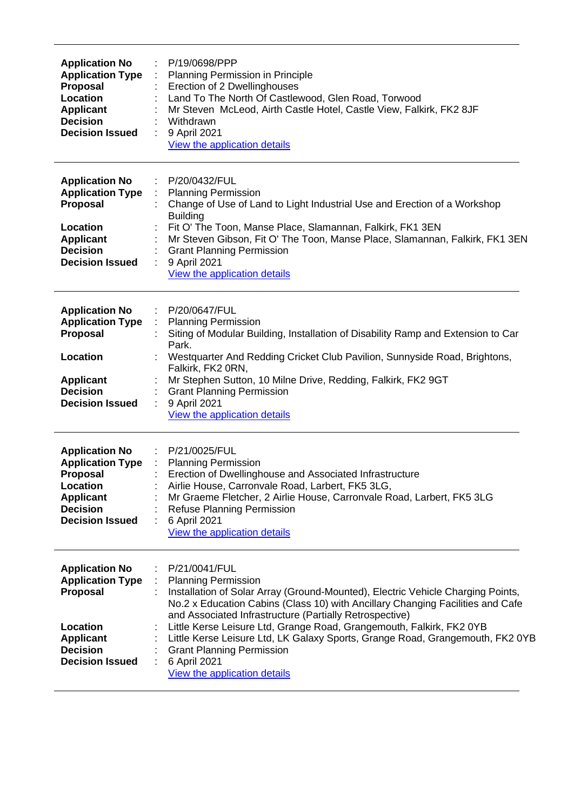| <b>Application No</b><br><b>Application Type</b><br>Proposal<br>Location<br><b>Applicant</b><br><b>Decision</b><br><b>Decision Issued</b>        | P/19/0698/PPP<br>Planning Permission in Principle<br>Erection of 2 Dwellinghouses<br>Land To The North Of Castlewood, Glen Road, Torwood<br>Mr Steven McLeod, Airth Castle Hotel, Castle View, Falkirk, FK2 8JF<br>Withdrawn<br>9 April 2021<br>View the application details                                                                                                                                                                                                                                             |
|--------------------------------------------------------------------------------------------------------------------------------------------------|--------------------------------------------------------------------------------------------------------------------------------------------------------------------------------------------------------------------------------------------------------------------------------------------------------------------------------------------------------------------------------------------------------------------------------------------------------------------------------------------------------------------------|
| <b>Application No</b><br><b>Application Type</b><br><b>Proposal</b><br>Location<br><b>Applicant</b><br><b>Decision</b><br><b>Decision Issued</b> | P/20/0432/FUL<br><b>Planning Permission</b><br>Change of Use of Land to Light Industrial Use and Erection of a Workshop<br><b>Building</b><br>Fit O' The Toon, Manse Place, Slamannan, Falkirk, FK1 3EN<br>Mr Steven Gibson, Fit O' The Toon, Manse Place, Slamannan, Falkirk, FK1 3EN<br><b>Grant Planning Permission</b><br>9 April 2021<br>View the application details                                                                                                                                               |
| <b>Application No</b><br><b>Application Type</b><br>Proposal<br>Location<br><b>Applicant</b><br><b>Decision</b><br><b>Decision Issued</b>        | P/20/0647/FUL<br>÷<br><b>Planning Permission</b><br>t.<br>Siting of Modular Building, Installation of Disability Ramp and Extension to Car<br>Park.<br>Westquarter And Redding Cricket Club Pavilion, Sunnyside Road, Brightons,<br>Falkirk, FK2 0RN,<br>Mr Stephen Sutton, 10 Milne Drive, Redding, Falkirk, FK2 9GT<br><b>Grant Planning Permission</b><br>9 April 2021<br>View the application details                                                                                                                |
| <b>Application No</b><br><b>Application Type</b><br><b>Proposal</b><br>Location<br><b>Applicant</b><br><b>Decision</b><br><b>Decision Issued</b> | P/21/0025/FUL<br>: Planning Permission<br>Erection of Dwellinghouse and Associated Infrastructure<br>Airlie House, Carronvale Road, Larbert, FK5 3LG,<br>Mr Graeme Fletcher, 2 Airlie House, Carronvale Road, Larbert, FK5 3LG<br>Refuse Planning Permission<br>6 April 2021<br>View the application details                                                                                                                                                                                                             |
| <b>Application No</b><br><b>Application Type</b><br>Proposal<br>Location<br><b>Applicant</b><br><b>Decision</b><br><b>Decision Issued</b>        | P/21/0041/FUL<br><b>Planning Permission</b><br>Installation of Solar Array (Ground-Mounted), Electric Vehicle Charging Points,<br>No.2 x Education Cabins (Class 10) with Ancillary Changing Facilities and Cafe<br>and Associated Infrastructure (Partially Retrospective)<br>Little Kerse Leisure Ltd, Grange Road, Grangemouth, Falkirk, FK2 0YB<br>Little Kerse Leisure Ltd, LK Galaxy Sports, Grange Road, Grangemouth, FK2 0YB<br><b>Grant Planning Permission</b><br>6 April 2021<br>View the application details |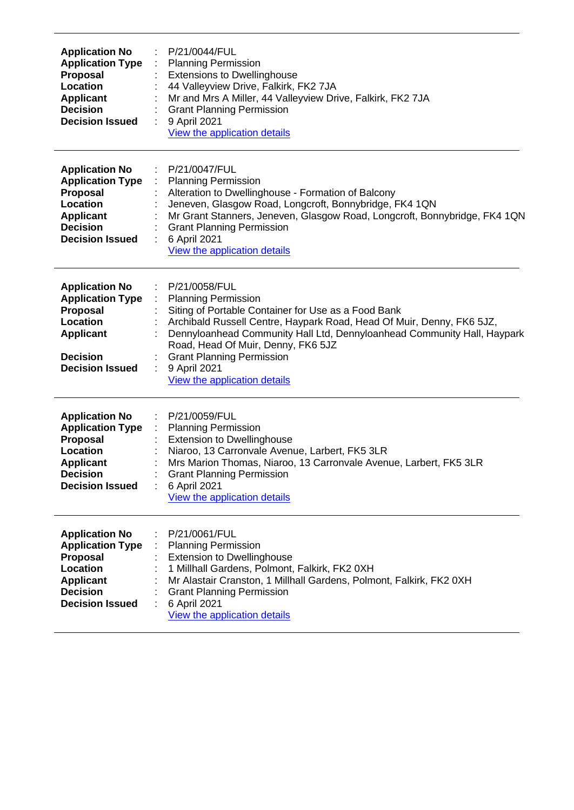| <b>Application No</b><br><b>Application Type</b><br>Proposal<br>Location<br><b>Applicant</b><br><b>Decision</b><br><b>Decision Issued</b>        | P/21/0044/FUL<br><b>Planning Permission</b><br><b>Extensions to Dwellinghouse</b><br>44 Valleyview Drive, Falkirk, FK2 7JA<br>Mr and Mrs A Miller, 44 Valleyview Drive, Falkirk, FK2 7JA<br><b>Grant Planning Permission</b><br>9 April 2021<br>View the application details                                                                                                          |
|--------------------------------------------------------------------------------------------------------------------------------------------------|---------------------------------------------------------------------------------------------------------------------------------------------------------------------------------------------------------------------------------------------------------------------------------------------------------------------------------------------------------------------------------------|
| <b>Application No</b><br><b>Application Type</b><br>Proposal<br>Location<br><b>Applicant</b><br><b>Decision</b><br><b>Decision Issued</b>        | P/21/0047/FUL<br><b>Planning Permission</b><br>Alteration to Dwellinghouse - Formation of Balcony<br>Jeneven, Glasgow Road, Longcroft, Bonnybridge, FK4 1QN<br>Mr Grant Stanners, Jeneven, Glasgow Road, Longcroft, Bonnybridge, FK4 1QN<br><b>Grant Planning Permission</b><br>6 April 2021<br>View the application details                                                          |
| <b>Application No</b><br><b>Application Type</b><br>Proposal<br>Location<br><b>Applicant</b><br><b>Decision</b><br><b>Decision Issued</b>        | P/21/0058/FUL<br><b>Planning Permission</b><br>Siting of Portable Container for Use as a Food Bank<br>Archibald Russell Centre, Haypark Road, Head Of Muir, Denny, FK6 5JZ,<br>Dennyloanhead Community Hall Ltd, Dennyloanhead Community Hall, Haypark<br>Road, Head Of Muir, Denny, FK6 5JZ<br><b>Grant Planning Permission</b><br>9 April 2021<br>÷<br>View the application details |
| <b>Application No</b><br><b>Application Type</b><br><b>Proposal</b><br>Location<br><b>Applicant</b><br><b>Decision</b><br><b>Decision Issued</b> | P/21/0059/FUL<br><b>Planning Permission</b><br>÷<br><b>Extension to Dwellinghouse</b><br>Niaroo, 13 Carronvale Avenue, Larbert, FK5 3LR<br>Mrs Marion Thomas, Niaroo, 13 Carronvale Avenue, Larbert, FK5 3LR<br><b>Grant Planning Permission</b><br>6 April 2021<br>View the application details                                                                                      |
| <b>Application No</b><br><b>Application Type</b><br>Proposal<br>Location<br><b>Applicant</b><br><b>Decision</b><br><b>Decision Issued</b>        | P/21/0061/FUL<br><b>Planning Permission</b><br><b>Extension to Dwellinghouse</b><br>1 Millhall Gardens, Polmont, Falkirk, FK2 0XH<br>Mr Alastair Cranston, 1 Millhall Gardens, Polmont, Falkirk, FK2 0XH<br><b>Grant Planning Permission</b><br>6 April 2021<br>View the application details                                                                                          |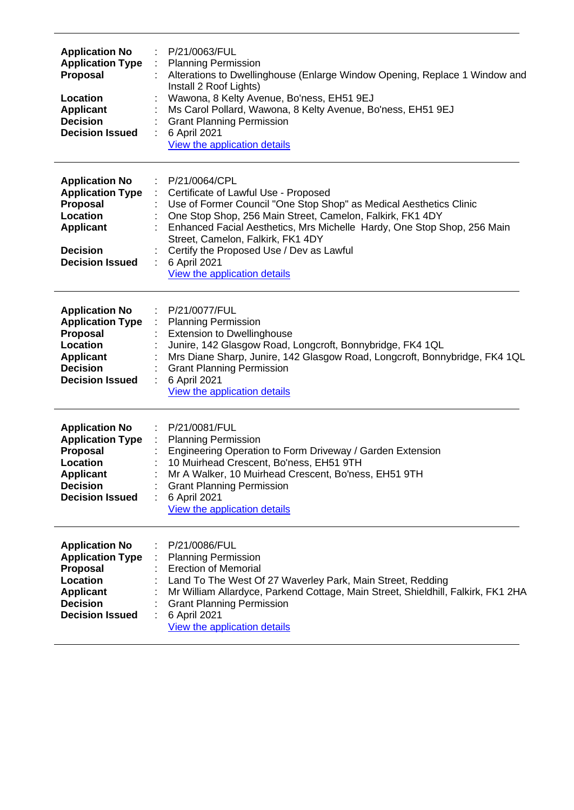| <b>Application No</b><br><b>Application Type</b><br><b>Proposal</b><br>Location<br><b>Applicant</b><br><b>Decision</b><br><b>Decision Issued</b> | P/21/0063/FUL<br><b>Planning Permission</b><br>Alterations to Dwellinghouse (Enlarge Window Opening, Replace 1 Window and<br>Install 2 Roof Lights)<br>Wawona, 8 Kelty Avenue, Bo'ness, EH51 9EJ<br>Ms Carol Pollard, Wawona, 8 Kelty Avenue, Bo'ness, EH51 9EJ<br><b>Grant Planning Permission</b><br>6 April 2021<br>View the application details                                                  |  |
|--------------------------------------------------------------------------------------------------------------------------------------------------|------------------------------------------------------------------------------------------------------------------------------------------------------------------------------------------------------------------------------------------------------------------------------------------------------------------------------------------------------------------------------------------------------|--|
| <b>Application No</b><br><b>Application Type</b><br><b>Proposal</b><br>Location<br><b>Applicant</b><br><b>Decision</b><br><b>Decision Issued</b> | P/21/0064/CPL<br>Certificate of Lawful Use - Proposed<br>Use of Former Council "One Stop Shop" as Medical Aesthetics Clinic<br>One Stop Shop, 256 Main Street, Camelon, Falkirk, FK1 4DY<br>Enhanced Facial Aesthetics, Mrs Michelle Hardy, One Stop Shop, 256 Main<br>Street, Camelon, Falkirk, FK1 4DY<br>Certify the Proposed Use / Dev as Lawful<br>6 April 2021<br>View the application details |  |
| <b>Application No</b><br><b>Application Type</b><br><b>Proposal</b><br>Location<br><b>Applicant</b><br><b>Decision</b><br><b>Decision Issued</b> | P/21/0077/FUL<br><b>Planning Permission</b><br><b>Extension to Dwellinghouse</b><br>Junire, 142 Glasgow Road, Longcroft, Bonnybridge, FK4 1QL<br>Mrs Diane Sharp, Junire, 142 Glasgow Road, Longcroft, Bonnybridge, FK4 1QL<br><b>Grant Planning Permission</b><br>6 April 2021<br>View the application details                                                                                      |  |
| <b>Application No</b><br><b>Application Type</b><br><b>Proposal</b><br>Location<br><b>Applicant</b><br><b>Decision</b><br><b>Decision Issued</b> | P/21/0081/FUL<br><b>Planning Permission</b><br>Engineering Operation to Form Driveway / Garden Extension<br>10 Muirhead Crescent, Bo'ness, EH51 9TH<br>Mr A Walker, 10 Muirhead Crescent, Bo'ness, EH51 9TH<br><b>Grant Planning Permission</b><br>6 April 2021<br>View the application details                                                                                                      |  |
| <b>Application No</b><br><b>Application Type</b><br><b>Proposal</b><br>Location<br><b>Applicant</b><br><b>Decision</b><br><b>Decision Issued</b> | P/21/0086/FUL<br><b>Planning Permission</b><br><b>Erection of Memorial</b><br>Land To The West Of 27 Waverley Park, Main Street, Redding<br>Mr William Allardyce, Parkend Cottage, Main Street, Shieldhill, Falkirk, FK1 2HA<br><b>Grant Planning Permission</b><br>6 April 2021<br>View the application details                                                                                     |  |